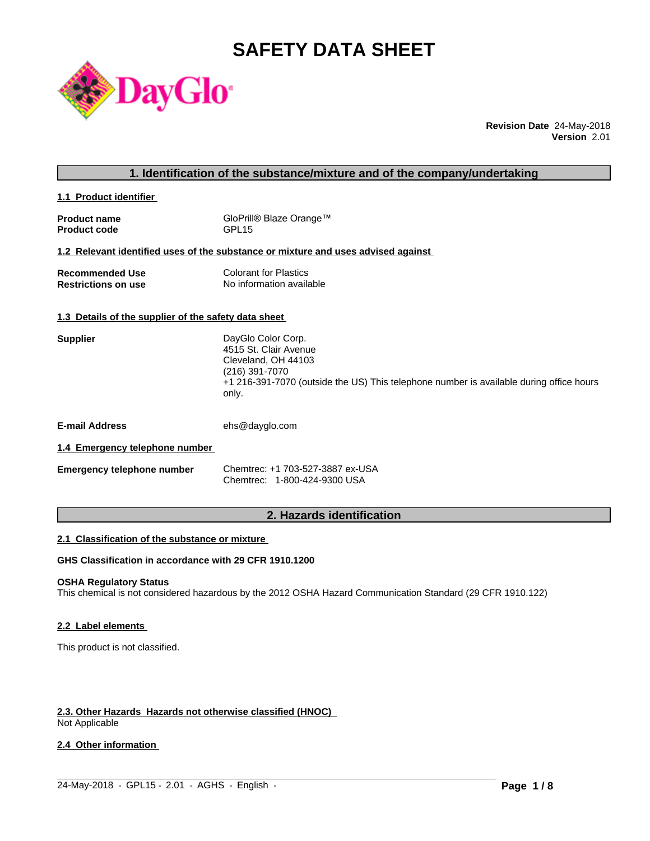# **SAFETY DATA SHEET**



**Revision Date** 24-May-2018 **Version** 2.01

# **1. Identification of the substance/mixture and of the company/undertaking**

**1.1 Product identifier** 

| <b>Product name</b> | GloPrill® Blaze Orange™ |
|---------------------|-------------------------|
| <b>Product code</b> | GPL15                   |

# **1.2 Relevant identified uses of the substance or mixture and uses advised against**

| <b>Recommended Use</b>     | Colorant for Plastics    |
|----------------------------|--------------------------|
| <b>Restrictions on use</b> | No information available |

#### **1.3 Details of the supplier of the safety data sheet**

| <b>Supplier</b> | DayGlo Color Corp.                                                                      |
|-----------------|-----------------------------------------------------------------------------------------|
|                 | 4515 St. Clair Avenue                                                                   |
|                 | Cleveland, OH 44103                                                                     |
|                 | (216) 391-7070                                                                          |
|                 | +1 216-391-7070 (outside the US) This telephone number is available during office hours |
|                 | only.                                                                                   |
|                 |                                                                                         |

**E-mail Address** ehs@dayglo.com

# **1.4 Emergency telephone number**

| <b>Emergency telephone number</b> | Chemtrec: +1 703-527-3887 ex-USA |
|-----------------------------------|----------------------------------|
|                                   | Chemtrec: 1-800-424-9300 USA     |

# **2. Hazards identification**

# **2.1 Classification of the substance or mixture**

# **GHS Classification in accordance with 29 CFR 1910.1200**

#### **OSHA Regulatory Status**

This chemical is not considered hazardous by the 2012 OSHA Hazard Communication Standard (29 CFR 1910.122)

# **2.2 Label elements**

This product is not classified.

# **2.3. Other Hazards Hazards not otherwise classified (HNOC)**

Not Applicable

# **2.4 Other information**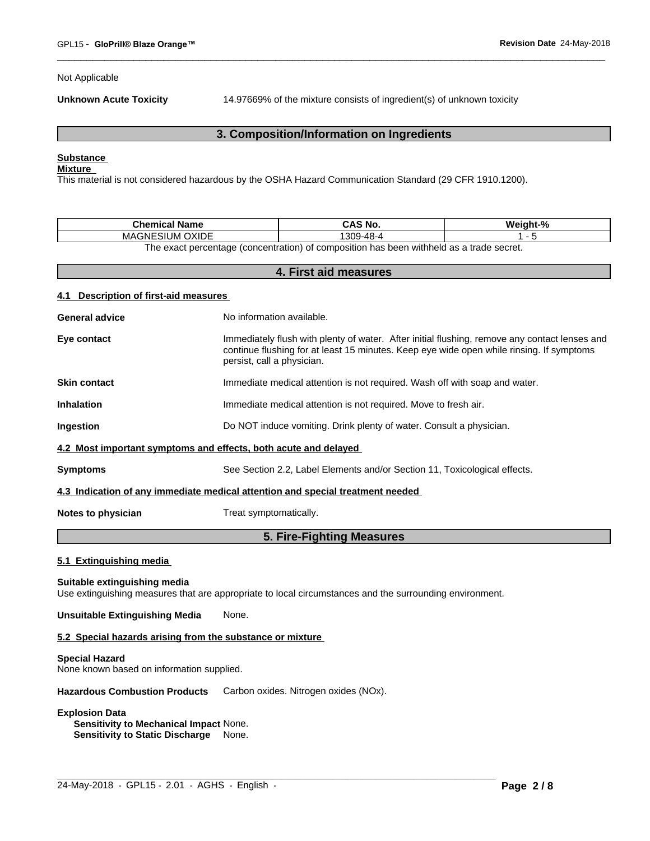Not Applicable

**Unknown Acute Toxicity** 14.97669% of the mixture consists of ingredient(s) of unknown toxicity

# **3. Composition/Information on Ingredients**

# **Substance**

# **Mixture**

This material is not considered hazardous by the OSHA Hazard Communication Standard (29 CFR 1910.1200).

| <b>Chemical Name</b>                                                                                             | CAS No.   | Weight-% |  |  |
|------------------------------------------------------------------------------------------------------------------|-----------|----------|--|--|
| ESIUM OXIDE<br>MAGNE'                                                                                            | 1309-48-4 |          |  |  |
| n withheld as a trade secret.<br>t percentage (concentration) of<br>composition<br>ı has been<br>'he exact<br>റ† |           |          |  |  |

**4. First aid measures 4.1 Description of first-aid measures General advice** No information available. **Eye contact** Immediately flush with plenty of water. After initial flushing, remove any contact lenses and continue flushing for at least 15 minutes. Keep eye wide open while rinsing. If symptoms persist, call a physician. **Skin contact Immediate medical attention is not required. Wash off with soap and water. Inhalation** Immediate medical attention is not required. Move to fresh air. **Ingestion Do NOT** induce vomiting. Drink plenty of water. Consult a physician. **4.2 Most important symptoms and effects, both acute and delayed Symptoms** See Section 2.2, Label Elements and/or Section 11, Toxicological effects. **4.3 Indication of any immediate medical attention and special treatment needed Notes to physician** Treat symptomatically. **5. Fire-Fighting Measures 5.1 Extinguishing media Suitable extinguishing media** Use extinguishing measures that are appropriate to local circumstances and the surrounding environment. **Unsuitable Extinguishing Media** None.

 $\_$  ,  $\_$  ,  $\_$  ,  $\_$  ,  $\_$  ,  $\_$  ,  $\_$  ,  $\_$  ,  $\_$  ,  $\_$  ,  $\_$  ,  $\_$  ,  $\_$  ,  $\_$  ,  $\_$  ,  $\_$  ,  $\_$  ,  $\_$  ,  $\_$  ,  $\_$  ,  $\_$  ,  $\_$  ,  $\_$  ,  $\_$  ,  $\_$  ,  $\_$  ,  $\_$  ,  $\_$  ,  $\_$  ,  $\_$  ,  $\_$  ,  $\_$  ,  $\_$  ,  $\_$  ,  $\_$  ,  $\_$  ,  $\_$  ,

#### **5.2 Special hazards arising from the substance or mixture**

#### **Special Hazard**

None known based on information supplied.

**Hazardous Combustion Products** Carbon oxides. Nitrogen oxides (NOx).

#### **Explosion Data**

**Sensitivity to Mechanical Impact** None. **Sensitivity to Static Discharge** None.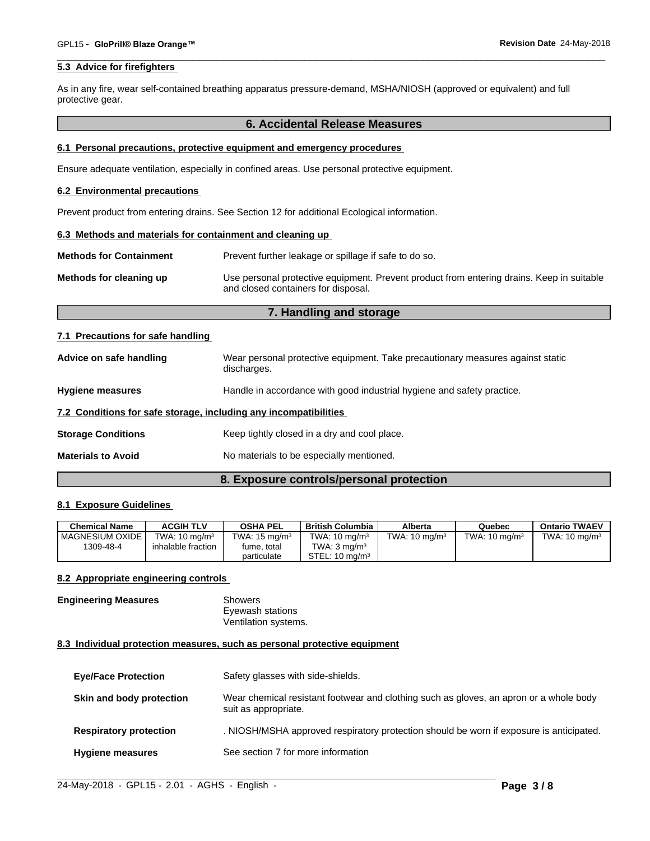# **5.3 Advice for firefighters**

As in any fire, wear self-contained breathing apparatus pressure-demand, MSHA/NIOSH (approved or equivalent) and full protective gear.

# **6. Accidental Release Measures**

#### **6.1 Personal precautions, protective equipment and emergency procedures**

Ensure adequate ventilation, especially in confined areas. Use personal protective equipment.

#### **6.2 Environmental precautions**

Prevent product from entering drains. See Section 12 for additional Ecological information.

# **6.3 Methods and materials for containment and cleaning up**

| <b>Methods for Containment</b> | Prevent further leakage or spillage if safe to do so.                                                                            |
|--------------------------------|----------------------------------------------------------------------------------------------------------------------------------|
| Methods for cleaning up        | Use personal protective equipment. Prevent product from entering drains. Keep in suitable<br>and closed containers for disposal. |

# **7. Handling and storage**

#### **7.1 Precautions for safe handling**

| Advice on safe handling                                          | Wear personal protective equipment. Take precautionary measures against static<br>discharges. |  |
|------------------------------------------------------------------|-----------------------------------------------------------------------------------------------|--|
| <b>Hygiene measures</b>                                          | Handle in accordance with good industrial hygiene and safety practice.                        |  |
| 7.2 Conditions for safe storage, including any incompatibilities |                                                                                               |  |
| <b>Storage Conditions</b>                                        | Keep tightly closed in a dry and cool place.                                                  |  |
| <b>Materials to Avoid</b>                                        | No materials to be especially mentioned.                                                      |  |

# **8. Exposure controls/personal protection**

#### **8.1 Exposure Guidelines**

| Chemical Name            | <b>ACGIH TLV</b>         | <b>OSHA PEL</b>          | <b>British Columbia</b>   | Alberta                  | Quebec                   | <b>Ontario TWAEV</b>     |
|--------------------------|--------------------------|--------------------------|---------------------------|--------------------------|--------------------------|--------------------------|
| <b>I MAGNESIUM OXIDE</b> | TWA: $10 \text{ ma/m}^3$ | TWA: $15 \text{ ma/m}^3$ | TWA: $10 \text{ mg/m}^3$  | TWA: $10 \text{ ma/m}^3$ | TWA: $10 \text{ ma/m}^3$ | TWA: $10 \text{ ma/m}^3$ |
| 1309-48-4                | inhalable fraction       | fume. total              | TWA: $3 \text{ ma/m}^3$   |                          |                          |                          |
|                          |                          | particulate              | STEL: $10 \text{ ma/m}^3$ |                          |                          |                          |

# **8.2 Appropriate engineering controls**

#### **Engineering Measures** Showers Eyewash stations Ventilation systems.

#### **8.3 Individual protection measures, such as personal protective equipment**

| <b>Eye/Face Protection</b>    | Safety glasses with side-shields.                                                                              |
|-------------------------------|----------------------------------------------------------------------------------------------------------------|
| Skin and body protection      | Wear chemical resistant footwear and clothing such as gloves, an apron or a whole body<br>suit as appropriate. |
| <b>Respiratory protection</b> | . NIOSH/MSHA approved respiratory protection should be worn if exposure is anticipated.                        |
| <b>Hygiene measures</b>       | See section 7 for more information                                                                             |

 $\_$  ,  $\_$  ,  $\_$  ,  $\_$  ,  $\_$  ,  $\_$  ,  $\_$  ,  $\_$  ,  $\_$  ,  $\_$  ,  $\_$  ,  $\_$  ,  $\_$  ,  $\_$  ,  $\_$  ,  $\_$  ,  $\_$  ,  $\_$  ,  $\_$  ,  $\_$  ,  $\_$  ,  $\_$  ,  $\_$  ,  $\_$  ,  $\_$  ,  $\_$  ,  $\_$  ,  $\_$  ,  $\_$  ,  $\_$  ,  $\_$  ,  $\_$  ,  $\_$  ,  $\_$  ,  $\_$  ,  $\_$  ,  $\_$  ,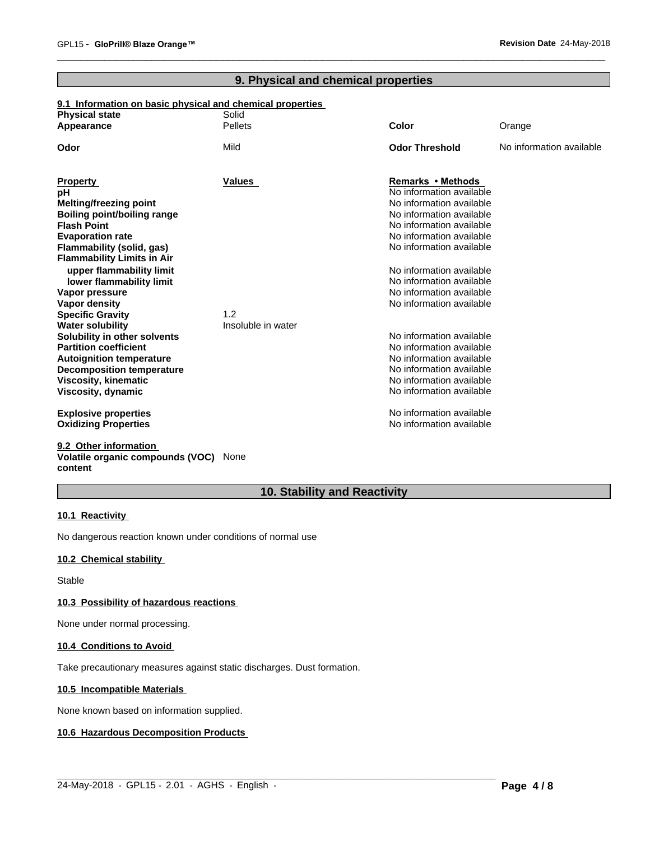# **9. Physical and chemical properties**

# **9.1 Information on basic physical and chemical properties Physical state** Solid

| Appearance                                                          | <b>Pellets</b>     | Color                                                | Orange                   |
|---------------------------------------------------------------------|--------------------|------------------------------------------------------|--------------------------|
| Odor                                                                | Mild               | <b>Odor Threshold</b>                                | No information available |
|                                                                     | <b>Values</b>      | Remarks • Methods                                    |                          |
| <b>Property</b><br>рH                                               |                    | No information available                             |                          |
| <b>Melting/freezing point</b>                                       |                    | No information available                             |                          |
| <b>Boiling point/boiling range</b>                                  |                    | No information available                             |                          |
| <b>Flash Point</b>                                                  |                    | No information available                             |                          |
| <b>Evaporation rate</b>                                             |                    | No information available                             |                          |
| Flammability (solid, gas)                                           |                    | No information available                             |                          |
| <b>Flammability Limits in Air</b>                                   |                    |                                                      |                          |
| upper flammability limit                                            |                    | No information available                             |                          |
| lower flammability limit                                            |                    | No information available                             |                          |
| Vapor pressure                                                      |                    | No information available                             |                          |
| Vapor density                                                       |                    | No information available                             |                          |
| <b>Specific Gravity</b>                                             | 1.2                |                                                      |                          |
| <b>Water solubility</b>                                             | Insoluble in water |                                                      |                          |
| Solubility in other solvents<br><b>Partition coefficient</b>        |                    | No information available                             |                          |
|                                                                     |                    | No information available<br>No information available |                          |
| <b>Autoignition temperature</b><br><b>Decomposition temperature</b> |                    | No information available                             |                          |
| Viscosity, kinematic                                                |                    | No information available                             |                          |
| Viscosity, dynamic                                                  |                    | No information available                             |                          |
|                                                                     |                    |                                                      |                          |
| <b>Explosive properties</b>                                         |                    | No information available                             |                          |
| <b>Oxidizing Properties</b>                                         |                    | No information available                             |                          |
|                                                                     |                    |                                                      |                          |

#### **9.2 Other information Volatile organic compounds (VOC)** None **content**

# **10. Stability and Reactivity**

 $\_$  ,  $\_$  ,  $\_$  ,  $\_$  ,  $\_$  ,  $\_$  ,  $\_$  ,  $\_$  ,  $\_$  ,  $\_$  ,  $\_$  ,  $\_$  ,  $\_$  ,  $\_$  ,  $\_$  ,  $\_$  ,  $\_$  ,  $\_$  ,  $\_$  ,  $\_$  ,  $\_$  ,  $\_$  ,  $\_$  ,  $\_$  ,  $\_$  ,  $\_$  ,  $\_$  ,  $\_$  ,  $\_$  ,  $\_$  ,  $\_$  ,  $\_$  ,  $\_$  ,  $\_$  ,  $\_$  ,  $\_$  ,  $\_$  ,

# **10.1 Reactivity**

No dangerous reaction known under conditions of normal use

# **10.2 Chemical stability**

Stable

# **10.3 Possibility of hazardous reactions**

None under normal processing.

# **10.4 Conditions to Avoid**

Take precautionary measures against static discharges. Dust formation.

# **10.5 Incompatible Materials**

None known based on information supplied.

# **10.6 Hazardous Decomposition Products**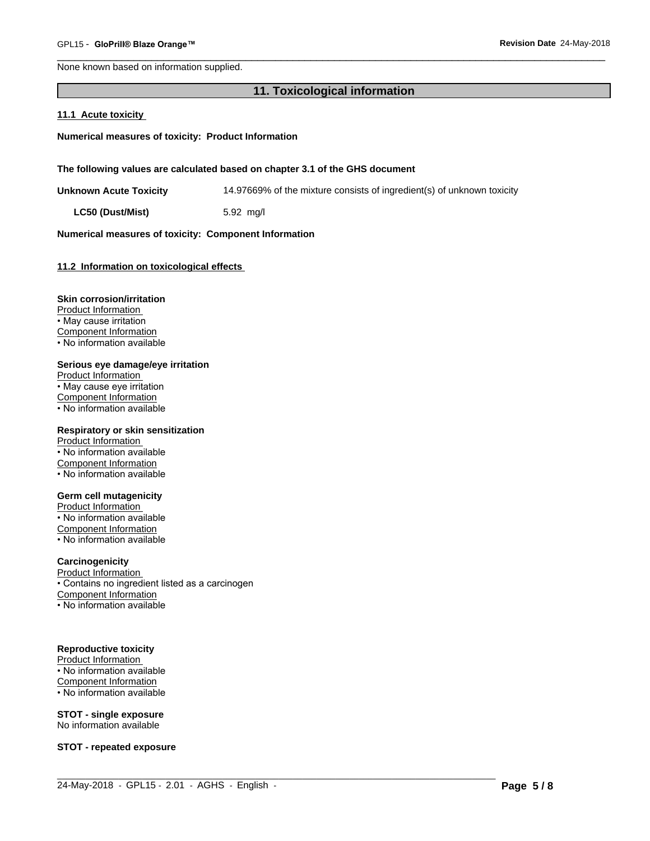None known based on information supplied.

# **11. Toxicological information**

#### **11.1 Acute toxicity**

**Numerical measures of toxicity: Product Information**

**The following values are calculated based on chapter 3.1 of the GHS document**

**Unknown Acute Toxicity** 14.97669% of the mixture consists of ingredient(s) of unknown toxicity

 $\_$  ,  $\_$  ,  $\_$  ,  $\_$  ,  $\_$  ,  $\_$  ,  $\_$  ,  $\_$  ,  $\_$  ,  $\_$  ,  $\_$  ,  $\_$  ,  $\_$  ,  $\_$  ,  $\_$  ,  $\_$  ,  $\_$  ,  $\_$  ,  $\_$  ,  $\_$  ,  $\_$  ,  $\_$  ,  $\_$  ,  $\_$  ,  $\_$  ,  $\_$  ,  $\_$  ,  $\_$  ,  $\_$  ,  $\_$  ,  $\_$  ,  $\_$  ,  $\_$  ,  $\_$  ,  $\_$  ,  $\_$  ,  $\_$  ,

**LC50 (Dust/Mist)** 5.92 mg/l

# **Numerical measures of toxicity: Component Information**

#### **11.2 Information on toxicologicaleffects**

#### **Skin corrosion/irritation**

Product Information • May cause irritation Component Information • No information available

#### **Serious eye damage/eye irritation**

Product Information • May cause eye irritation Component Information • No information available

#### **Respiratory or skin sensitization**

Product Information • No information available Component Information • No information available

#### **Germ cell mutagenicity**

Product Information • No information available Component Information • No information available

# **Carcinogenicity**

Product Information

• Contains no ingredient listed as a carcinogen

Component Information • No information available

# **Reproductive toxicity**

Product Information • No information available Component Information

• No information available

#### **STOT - single exposure** No information available

**STOT - repeated exposure**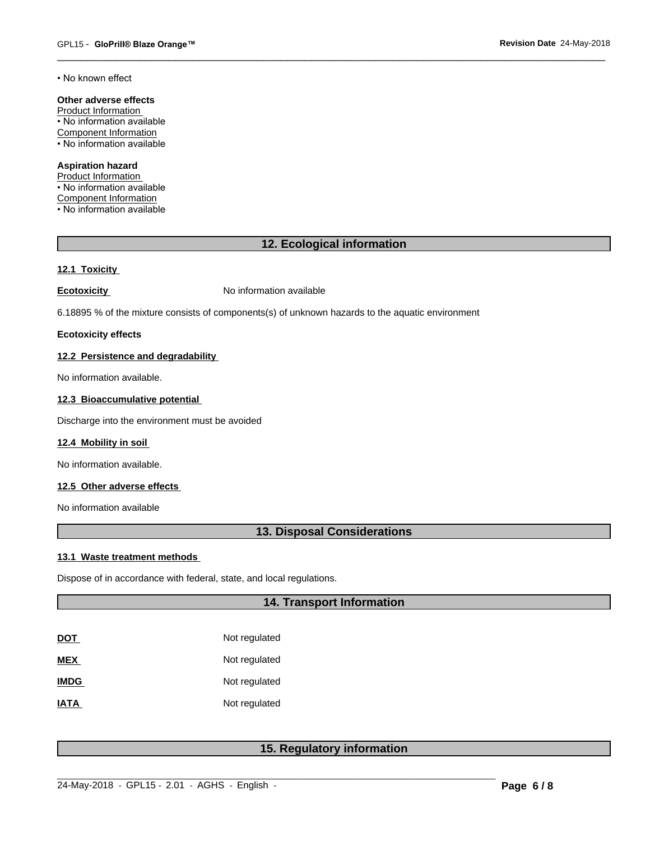• No known effect

# **Other adverse effects**

Product Information • No information available Component Information • No information available

#### **Aspiration hazard**

Product Information • No information available Component Information • No information available

# **12. Ecological information**

# **12.1 Toxicity**

**Ecotoxicity No information available** 

6.18895 % of the mixture consists of components(s) of unknown hazards to the aquatic environment

# **Ecotoxicity effects**

# **12.2 Persistence and degradability**

No information available.

# **12.3 Bioaccumulative potential**

Discharge into the environment must be avoided

# **12.4 Mobility in soil**

No information available.

# **12.5 Other adverse effects**

No information available

# **13. Disposal Considerations**

# **13.1 Waste treatment methods**

Dispose of in accordance with federal, state, and local regulations.

# **14. Transport Information**

| DOT         | Not regulated |
|-------------|---------------|
| MEX         | Not regulated |
| <b>IMDG</b> | Not regulated |
| IATA        | Not regulated |

# **15. Regulatory information**

 $\_$  ,  $\_$  ,  $\_$  ,  $\_$  ,  $\_$  ,  $\_$  ,  $\_$  ,  $\_$  ,  $\_$  ,  $\_$  ,  $\_$  ,  $\_$  ,  $\_$  ,  $\_$  ,  $\_$  ,  $\_$  ,  $\_$  ,  $\_$  ,  $\_$  ,  $\_$  ,  $\_$  ,  $\_$  ,  $\_$  ,  $\_$  ,  $\_$  ,  $\_$  ,  $\_$  ,  $\_$  ,  $\_$  ,  $\_$  ,  $\_$  ,  $\_$  ,  $\_$  ,  $\_$  ,  $\_$  ,  $\_$  ,  $\_$  ,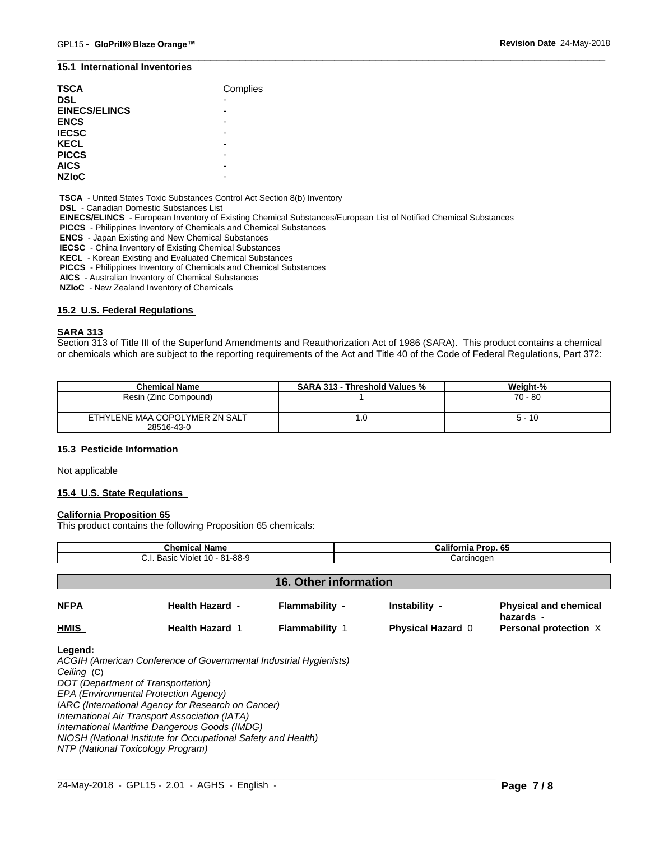#### **15.1 International Inventories**

| <b>TSCA</b>          | Complies                 |
|----------------------|--------------------------|
| <b>DSL</b>           | $\overline{\phantom{0}}$ |
| <b>EINECS/ELINCS</b> |                          |
| <b>ENCS</b>          |                          |
| <b>IECSC</b>         |                          |
| <b>KECL</b>          |                          |
| <b>PICCS</b>         |                          |
| <b>AICS</b>          |                          |
| <b>NZIoC</b>         |                          |

 **TSCA** - United States Toxic Substances Control Act Section 8(b) Inventory

 **DSL** - Canadian Domestic Substances List

 **EINECS/ELINCS** - European Inventory of Existing Chemical Substances/European List of Notified Chemical Substances

 **PICCS** - Philippines Inventory of Chemicals and Chemical Substances

 **ENCS** - Japan Existing and New Chemical Substances

 **IECSC** - China Inventory of Existing Chemical Substances

 **KECL** - Korean Existing and Evaluated Chemical Substances

 **PICCS** - Philippines Inventory of Chemicals and Chemical Substances

 **AICS** - Australian Inventory of Chemical Substances

 **NZIoC** - New Zealand Inventory of Chemicals

### **15.2 U.S. Federal Regulations**

#### **SARA 313**

Section 313 of Title III of the Superfund Amendments and Reauthorization Act of 1986 (SARA). This product contains a chemical or chemicals which are subject to the reporting requirements of the Act and Title 40 of the Code of Federal Regulations, Part 372:

| <b>Chemical Name</b>                         | <b>SARA 313 - Threshold Values %</b> | Weight-%  |
|----------------------------------------------|--------------------------------------|-----------|
| Resin (Zinc Compound)                        |                                      | $70 - 80$ |
| ETHYLENE MAA COPOLYMER ZN SALT<br>28516-43-0 | IJ.                                  | $5 - 10$  |

# **15.3 Pesticide Information**

Not applicable

#### **15.4 U.S. State Regulations**

#### **California Proposition 65**

This product contains the following Proposition 65 chemicals:

| <b>Chemical Name</b><br>C.I. Basic Violet 10 - 81-88-9 |                                                                                                                                                                                                                                                                                                                                                                            | California Prop. 65   |                          |                                           |  |  |
|--------------------------------------------------------|----------------------------------------------------------------------------------------------------------------------------------------------------------------------------------------------------------------------------------------------------------------------------------------------------------------------------------------------------------------------------|-----------------------|--------------------------|-------------------------------------------|--|--|
|                                                        |                                                                                                                                                                                                                                                                                                                                                                            |                       | Carcinogen               |                                           |  |  |
| <b>16. Other information</b>                           |                                                                                                                                                                                                                                                                                                                                                                            |                       |                          |                                           |  |  |
| <b>NFPA</b>                                            | <b>Health Hazard -</b>                                                                                                                                                                                                                                                                                                                                                     | Flammability -        | Instability -            | <b>Physical and chemical</b><br>hazards - |  |  |
| <b>HMIS</b>                                            | <b>Health Hazard 1</b>                                                                                                                                                                                                                                                                                                                                                     | <b>Flammability 1</b> | <b>Physical Hazard 0</b> | Personal protection X                     |  |  |
| Legend:<br>Ceiling (C)                                 | ACGIH (American Conference of Governmental Industrial Hygienists)<br>DOT (Department of Transportation)<br>EPA (Environmental Protection Agency)<br>IARC (International Agency for Research on Cancer)<br>International Air Transport Association (IATA)<br>International Maritime Dangerous Goods (IMDG)<br>NIOSH (National Institute for Occupational Safety and Health) |                       |                          |                                           |  |  |

 $\_$  ,  $\_$  ,  $\_$  ,  $\_$  ,  $\_$  ,  $\_$  ,  $\_$  ,  $\_$  ,  $\_$  ,  $\_$  ,  $\_$  ,  $\_$  ,  $\_$  ,  $\_$  ,  $\_$  ,  $\_$  ,  $\_$  ,  $\_$  ,  $\_$  ,  $\_$  ,  $\_$  ,  $\_$  ,  $\_$  ,  $\_$  ,  $\_$  ,  $\_$  ,  $\_$  ,  $\_$  ,  $\_$  ,  $\_$  ,  $\_$  ,  $\_$  ,  $\_$  ,  $\_$  ,  $\_$  ,  $\_$  ,  $\_$  ,

*NTP (National Toxicology Program)*